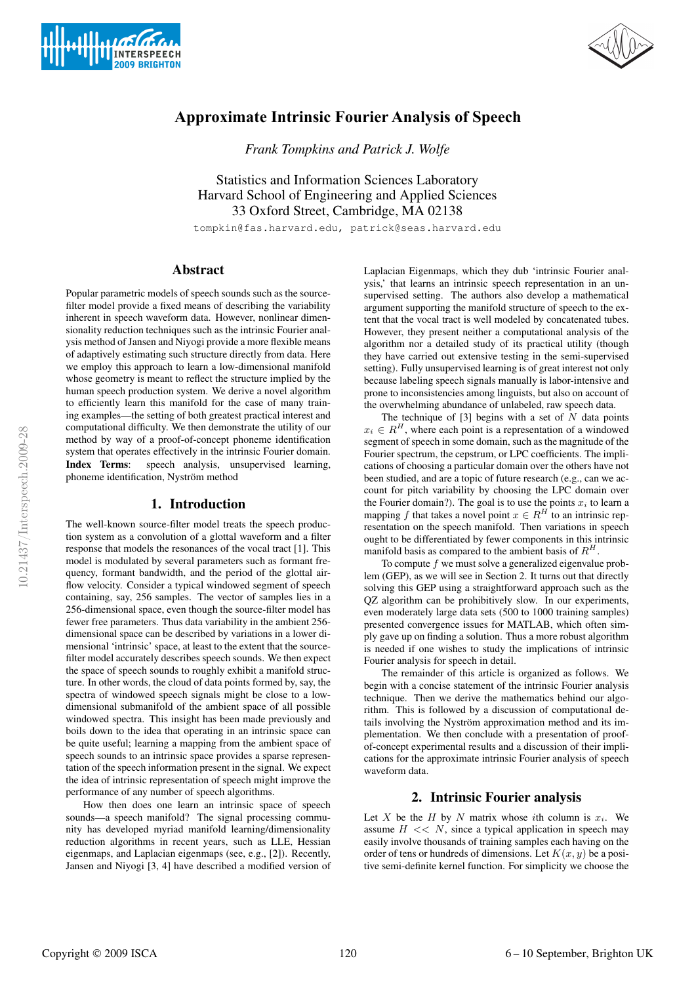



# **Approximate Intrinsic Fourier Analysis of Speech**

*Frank Tompkins and Patrick J. Wolfe*

Statistics and Information Sciences Laboratory Harvard School of Engineering and Applied Sciences 33 Oxford Street, Cambridge, MA 02138

tompkin@fas.harvard.edu, patrick@seas.harvard.edu

## Abstract

Popular parametric models of speech sounds such as the sourcefilter model provide a fixed means of describing the variability inherent in speech waveform data. However, nonlinear dimensionality reduction techniques such as the intrinsic Fourier analysis method of Jansen and Niyogi provide a more flexible means of adaptively estimating such structure directly from data. Here we employ this approach to learn a low-dimensional manifold whose geometry is meant to reflect the structure implied by the human speech production system. We derive a novel algorithm to efficiently learn this manifold for the case of many training examples—the setting of both greatest practical interest and computational difficulty. We then demonstrate the utility of our method by way of a proof-of-concept phoneme identification system that operates effectively in the intrinsic Fourier domain. Index Terms: speech analysis, unsupervised learning, phoneme identification, Nyström method

## 1. Introduction

The well-known source-filter model treats the speech production system as a convolution of a glottal waveform and a filter response that models the resonances of the vocal tract [1]. This model is modulated by several parameters such as formant frequency, formant bandwidth, and the period of the glottal airflow velocity. Consider a typical windowed segment of speech containing, say, 256 samples. The vector of samples lies in a 256-dimensional space, even though the source-filter model has fewer free parameters. Thus data variability in the ambient 256 dimensional space can be described by variations in a lower dimensional 'intrinsic' space, at least to the extent that the sourcefilter model accurately describes speech sounds. We then expect the space of speech sounds to roughly exhibit a manifold structure. In other words, the cloud of data points formed by, say, the spectra of windowed speech signals might be close to a lowdimensional submanifold of the ambient space of all possible windowed spectra. This insight has been made previously and boils down to the idea that operating in an intrinsic space can be quite useful; learning a mapping from the ambient space of speech sounds to an intrinsic space provides a sparse representation of the speech information present in the signal. We expect the idea of intrinsic representation of speech might improve the performance of any number of speech algorithms.

How then does one learn an intrinsic space of speech sounds—a speech manifold? The signal processing community has developed myriad manifold learning/dimensionality reduction algorithms in recent years, such as LLE, Hessian eigenmaps, and Laplacian eigenmaps (see, e.g., [2]). Recently, Jansen and Niyogi [3, 4] have described a modified version of

Laplacian Eigenmaps, which they dub 'intrinsic Fourier analysis,' that learns an intrinsic speech representation in an unsupervised setting. The authors also develop a mathematical argument supporting the manifold structure of speech to the extent that the vocal tract is well modeled by concatenated tubes. However, they present neither a computational analysis of the algorithm nor a detailed study of its practical utility (though they have carried out extensive testing in the semi-supervised setting). Fully unsupervised learning is of great interest not only because labeling speech signals manually is labor-intensive and prone to inconsistencies among linguists, but also on account of the overwhelming abundance of unlabeled, raw speech data.

The technique of [3] begins with a set of  $N$  data points  $x_i \in R^H$ , where each point is a representation of a windowed segment of speech in some domain, such as the magnitude of the Fourier spectrum, the cepstrum, or LPC coefficients. The implications of choosing a particular domain over the others have not been studied, and are a topic of future research (e.g., can we account for pitch variability by choosing the LPC domain over the Fourier domain?). The goal is to use the points  $x_i$  to learn a mapping f that takes a novel point  $x \in R^H$  to an intrinsic representation on the speech manifold. Then variations in speech ought to be differentiated by fewer components in this intrinsic manifold basis as compared to the ambient basis of  $R<sup>H</sup>$ .

To compute  $f$  we must solve a generalized eigenvalue problem (GEP), as we will see in Section 2. It turns out that directly solving this GEP using a straightforward approach such as the QZ algorithm can be prohibitively slow. In our experiments, even moderately large data sets (500 to 1000 training samples) presented convergence issues for MATLAB, which often simply gave up on finding a solution. Thus a more robust algorithm is needed if one wishes to study the implications of intrinsic Fourier analysis for speech in detail.

The remainder of this article is organized as follows. We begin with a concise statement of the intrinsic Fourier analysis technique. Then we derive the mathematics behind our algorithm. This is followed by a discussion of computational details involving the Nyström approximation method and its implementation. We then conclude with a presentation of proofof-concept experimental results and a discussion of their implications for the approximate intrinsic Fourier analysis of speech waveform data.

## 2. Intrinsic Fourier analysis

Let X be the H by N matrix whose ith column is  $x_i$ . We assume  $H \ll N$ , since a typical application in speech may easily involve thousands of training samples each having on the order of tens or hundreds of dimensions. Let  $K(x, y)$  be a positive semi-definite kernel function. For simplicity we choose the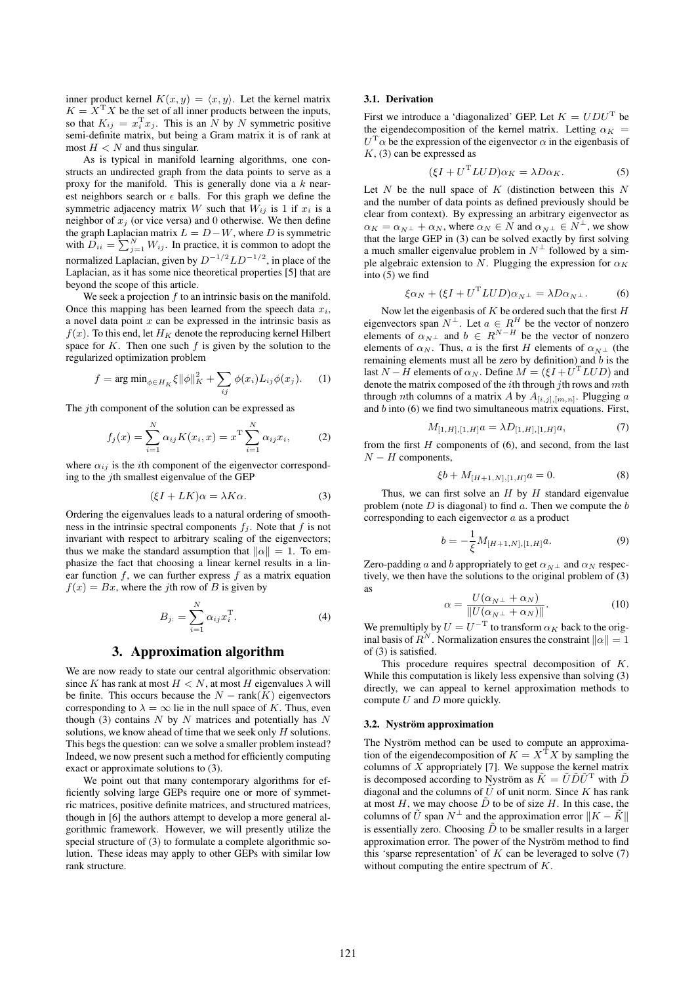inner product kernel  $K(x, y) = \langle x, y \rangle$ . Let the kernel matrix  $K = X<sup>T</sup> X$  be the set of all inner products between the inputs, so that  $K_{ij} = x_i^{\mathrm{T}} x_j$ . This is an N by N symmetric positive semi-definite matrix, but being a Gram matrix it is of rank at most  $H < N$  and thus singular.

As is typical in manifold learning algorithms, one constructs an undirected graph from the data points to serve as a proxy for the manifold. This is generally done via a  $k$  nearest neighbors search or  $\epsilon$  balls. For this graph we define the symmetric adjacency matrix W such that  $\overline{W}_{ij}$  is 1 if  $x_i$  is a neighbor of  $x_j$  (or vice versa) and 0 otherwise. We then define the graph Laplacian matrix  $L = D - W$ , where D is symmetric with  $D_{ii} = \sum_{j=1}^{N} W_{ij}$ . In practice, it is common to adopt the normalized Laplacian, given by  $D^{-1/2}LD^{-1/2}$ , in place of the Laplacian, as it has some nice theoretical properties [5] that are beyond the scope of this article.

We seek a projection  $f$  to an intrinsic basis on the manifold. Once this mapping has been learned from the speech data  $x_i$ , a novel data point  $x$  can be expressed in the intrinsic basis as  $f(x)$ . To this end, let  $H_K$  denote the reproducing kernel Hilbert space for  $K$ . Then one such  $f$  is given by the solution to the regularized optimization problem

$$
f = \arg\min_{\phi \in H_K} \xi ||\phi||_K^2 + \sum_{ij} \phi(x_i) L_{ij} \phi(x_j). \tag{1}
$$

The *j*th component of the solution can be expressed as

$$
f_j(x) = \sum_{i=1}^{N} \alpha_{ij} K(x_i, x) = x^{\mathrm{T}} \sum_{i=1}^{N} \alpha_{ij} x_i,
$$
 (2)

where  $\alpha_{ij}$  is the *i*th component of the eigenvector corresponding to the  $j$ th smallest eigenvalue of the GEP

$$
(\xi I + LK)\alpha = \lambda K\alpha.
$$
 (3)

Ordering the eigenvalues leads to a natural ordering of smoothness in the intrinsic spectral components  $f_i$ . Note that f is not invariant with respect to arbitrary scaling of the eigenvectors; thus we make the standard assumption that  $||\alpha|| = 1$ . To emphasize the fact that choosing a linear kernel results in a linear function  $f$ , we can further express  $f$  as a matrix equation  $f(x) = Bx$ , where the *j*th row of *B* is given by

$$
B_{j:} = \sum_{i=1}^{N} \alpha_{ij} x_i^{\mathrm{T}}.
$$
 (4)

## 3. Approximation algorithm

We are now ready to state our central algorithmic observation: since K has rank at most  $H < N$ , at most H eigenvalues  $\lambda$  will be finite. This occurs because the  $N - \text{rank}(K)$  eigenvectors corresponding to  $\lambda = \infty$  lie in the null space of K. Thus, even though (3) contains  $N$  by  $N$  matrices and potentially has  $N$ solutions, we know ahead of time that we seek only H solutions. This begs the question: can we solve a smaller problem instead? Indeed, we now present such a method for efficiently computing exact or approximate solutions to (3).

We point out that many contemporary algorithms for efficiently solving large GEPs require one or more of symmetric matrices, positive definite matrices, and structured matrices, though in [6] the authors attempt to develop a more general algorithmic framework. However, we will presently utilize the special structure of (3) to formulate a complete algorithmic solution. These ideas may apply to other GEPs with similar low rank structure.

#### 3.1. Derivation

First we introduce a 'diagonalized' GEP. Let  $K = UDU<sup>T</sup>$  be the eigendecomposition of the kernel matrix. Letting  $\alpha_K$  =  $U<sup>T</sup>\alpha$  be the expression of the eigenvector  $\alpha$  in the eigenbasis of  $K$ , (3) can be expressed as

$$
(\xi I + U^{\mathrm{T}} L U D) \alpha_K = \lambda D \alpha_K. \tag{5}
$$

Let  $N$  be the null space of  $K$  (distinction between this  $N$ and the number of data points as defined previously should be clear from context). By expressing an arbitrary eigenvector as  $\alpha_K = \alpha_{N^{\perp}} + \alpha_N$ , where  $\alpha_N \in N$  and  $\alpha_{N^{\perp}} \in N^{\perp}$ , we show that the large GEP in (3) can be solved exactly by first solving a much smaller eigenvalue problem in  $N^{\perp}$  followed by a simple algebraic extension to N. Plugging the expression for  $\alpha_K$ into (5) we find

$$
\xi \alpha_N + (\xi I + U^{\mathrm{T}} L U D) \alpha_{N^{\perp}} = \lambda D \alpha_{N^{\perp}}.
$$
 (6)

Now let the eigenbasis of  $K$  be ordered such that the first  $H$ eigenvectors span  $N^{\perp}$ . Let  $a \in R^H$  be the vector of nonzero elements of  $\alpha_{N^{\perp}}$  and  $b \in R^{N-H}$  be the vector of nonzero elements of  $\alpha_N$ . Thus, a is the first H elements of  $\alpha_{N^{\perp}}$  (the remaining elements must all be zero by definition) and b is the last  $N - H$  elements of  $\alpha_N$ . Define  $M = (\xi I + U^T L U D)$  and denote the matrix composed of the  $i$ th through  $j$ th rows and  $m$ th through nth columns of a matrix A by  $A_{[i,j],[m,n]}$ . Plugging a and  $b$  into  $(6)$  we find two simultaneous matrix equations. First,

$$
M_{[1,H],[1,H]}a = \lambda D_{[1,H],[1,H]}a,\tag{7}
$$

from the first  $H$  components of  $(6)$ , and second, from the last  $N - H$  components,

$$
\xi b + M_{[H+1,N], [1,H]} a = 0. \tag{8}
$$

Thus, we can first solve an  $H$  by  $H$  standard eigenvalue problem (note  $D$  is diagonal) to find  $a$ . Then we compute the  $b$ corresponding to each eigenvector a as a product

$$
b = -\frac{1}{\xi} M_{[H+1,N], [1,H]} a.
$$
\n(9)

Zero-padding a and b appropriately to get  $\alpha_{N\perp}$  and  $\alpha_N$  respectively, we then have the solutions to the original problem of (3) as

$$
\alpha = \frac{U(\alpha_{N^{\perp}} + \alpha_N)}{\|U(\alpha_{N^{\perp}} + \alpha_N)\|}.
$$
\n(10)

We premultiply by  $U = U^{-T}$  to transform  $\alpha_K$  back to the original basis of  $R^N$ . Normalization ensures the constraint  $\|\alpha\| = 1$ of (3) is satisfied.

This procedure requires spectral decomposition of K. While this computation is likely less expensive than solving (3) directly, we can appeal to kernel approximation methods to compute  $U$  and  $D$  more quickly.

#### 3.2. Nyström approximation

The Nyström method can be used to compute an approximation of the eigendecomposition of  $K = X^{\mathsf{T}} X$  by sampling the columns of  $X$  appropriately [7]. We suppose the kernel matrix is decomposed according to Nyström as  $\tilde{K} = \tilde{U}\tilde{D}\tilde{U}^T$  with  $\tilde{D}$ diagonal and the columns of  $\tilde{U}$  of unit norm. Since K has rank at most H, we may choose  $\tilde{D}$  to be of size H. In this case, the columns of  $\tilde{U}$  span  $N^{\perp}$  and the approximation error  $||K - \tilde{K}||$ is essentially zero. Choosing  $\tilde{D}$  to be smaller results in a larger approximation error. The power of the Nyström method to find this 'sparse representation' of  $K$  can be leveraged to solve  $(7)$ without computing the entire spectrum of K.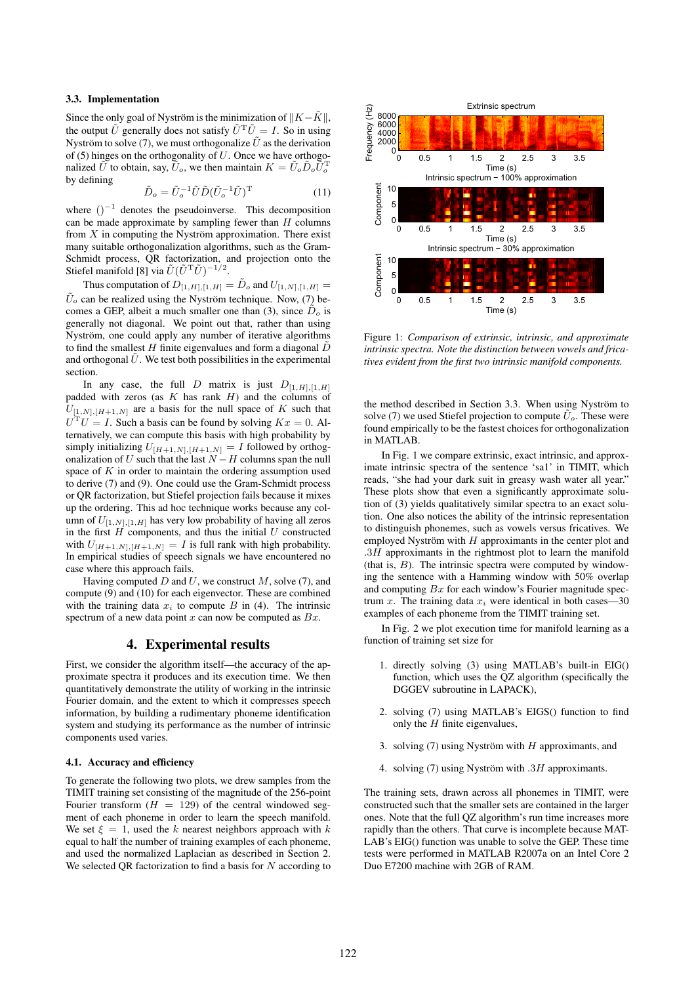#### 3.3. Implementation

Since the only goal of Nyström is the minimization of  $||K-\tilde{K}||$ , the output  $\tilde{U}$  generally does not satisfy  $\tilde{U}^T\tilde{U} = I$ . So in using Nyström to solve (7), we must orthogonalize  $\tilde{U}$  as the derivation of (5) hinges on the orthogonality of  $U$ . Once we have orthogonalized  $\tilde{U}$  to obtain, say,  $\tilde{U}_o$ , we then maintain  $K = \tilde{U}_o \tilde{D}_o \tilde{U}_o^{\mathrm{T}}$ by defining

$$
\tilde{D}_o = \tilde{U}_o^{-1} \tilde{U} \tilde{D} (\tilde{U}_o^{-1} \tilde{U})^{\mathrm{T}} \tag{11}
$$

where  $()^{-1}$  denotes the pseudoinverse. This decomposition can be made approximate by sampling fewer than  $H$  columns from  $X$  in computing the Nyström approximation. There exist many suitable orthogonalization algorithms, such as the Gram-Schmidt process, QR factorization, and projection onto the Stiefel manifold [8] via  $\tilde{U}(\tilde{U}^{\mathrm{T}}\tilde{U})^{-1/2}$ .

Thus computation of  $D_{[1,H],[1,H]} = D_o$  and  $U_{[1,N],[1,H]} =$  $\tilde{U}_{o}$  can be realized using the Nyström technique. Now, (7) becomes a GEP, albeit a much smaller one than (3), since  $\tilde{D}_o$  is generally not diagonal. We point out that, rather than using Nyström, one could apply any number of iterative algorithms to find the smallest  $H$  finite eigenvalues and form a diagonal  $\overline{D}$ and orthogonal  $\bar{U}$ . We test both possibilities in the experimental section.

In any case, the full D matrix is just  $D_{[1,H],[1,H]}$ padded with zeros (as  $K$  has rank  $H$ ) and the columns of  $U_{[1,N],[H+1,N]}$  are a basis for the null space of K such that  $U<sup>T</sup>U = I$ . Such a basis can be found by solving  $Kx = 0$ . Alternatively, we can compute this basis with high probability by simply initializing  $U_{[H+1,N],[H+1,N]} = I$  followed by orthogonalization of U such that the last  $N - H$  columns span the null space of  $K$  in order to maintain the ordering assumption used to derive (7) and (9). One could use the Gram-Schmidt process or QR factorization, but Stiefel projection fails because it mixes up the ordering. This ad hoc technique works because any column of  $U_{[1,N],[1,H]}$  has very low probability of having all zeros in the first  $H$  components, and thus the initial  $U$  constructed with  $U_{[H+1,N],[H+1,N]} = I$  is full rank with high probability. In empirical studies of speech signals we have encountered no case where this approach fails.

Having computed  $D$  and  $U$ , we construct  $M$ , solve (7), and compute (9) and (10) for each eigenvector. These are combined with the training data  $x_i$  to compute B in (4). The intrinsic spectrum of a new data point  $x$  can now be computed as  $Bx$ .

## 4. Experimental results

First, we consider the algorithm itself—the accuracy of the approximate spectra it produces and its execution time. We then quantitatively demonstrate the utility of working in the intrinsic Fourier domain, and the extent to which it compresses speech information, by building a rudimentary phoneme identification system and studying its performance as the number of intrinsic components used varies.

#### 4.1. Accuracy and efficiency

To generate the following two plots, we drew samples from the TIMIT training set consisting of the magnitude of the 256-point Fourier transform  $(H = 129)$  of the central windowed segment of each phoneme in order to learn the speech manifold. We set  $\xi = 1$ , used the k nearest neighbors approach with k equal to half the number of training examples of each phoneme, and used the normalized Laplacian as described in Section 2. We selected OR factorization to find a basis for  $N$  according to



Figure 1: *Comparison of extrinsic, intrinsic, and approximate intrinsic spectra. Note the distinction between vowels and fricatives evident from the first two intrinsic manifold components.*

the method described in Section 3.3. When using Nyström to solve (7) we used Stiefel projection to compute  $\tilde{U}_o$ . These were found empirically to be the fastest choices for orthogonalization in MATLAB.

In Fig. 1 we compare extrinsic, exact intrinsic, and approximate intrinsic spectra of the sentence 'sa1' in TIMIT, which reads, "she had your dark suit in greasy wash water all year." These plots show that even a significantly approximate solution of (3) yields qualitatively similar spectra to an exact solution. One also notices the ability of the intrinsic representation to distinguish phonemes, such as vowels versus fricatives. We employed Nyström with  $H$  approximants in the center plot and  $.3H$  approximants in the rightmost plot to learn the manifold (that is,  $B$ ). The intrinsic spectra were computed by windowing the sentence with a Hamming window with 50% overlap and computing  $Bx$  for each window's Fourier magnitude spectrum x. The training data  $x_i$  were identical in both cases—30 examples of each phoneme from the TIMIT training set.

In Fig. 2 we plot execution time for manifold learning as a function of training set size for

- 1. directly solving (3) using MATLAB's built-in EIG() function, which uses the QZ algorithm (specifically the DGGEV subroutine in LAPACK),
- 2. solving (7) using MATLAB's EIGS() function to find only the  $H$  finite eigenvalues,
- 3. solving (7) using Nyström with  $H$  approximants, and
- 4. solving (7) using Nyström with  $.3H$  approximants.

The training sets, drawn across all phonemes in TIMIT, were constructed such that the smaller sets are contained in the larger ones. Note that the full QZ algorithm's run time increases more rapidly than the others. That curve is incomplete because MAT-LAB's EIG() function was unable to solve the GEP. These time tests were performed in MATLAB R2007a on an Intel Core 2 Duo E7200 machine with 2GB of RAM.